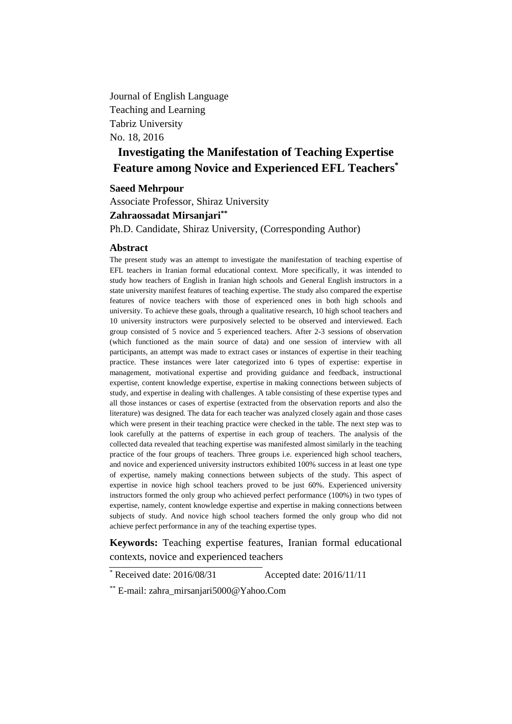Journal of English Language Teaching and Learning Tabriz University No. 18, 2016

# **Investigating the Manifestation of Teaching Expertise Feature among Novice and Experienced EFL Teachers\***

### **Saeed Mehrpour**

Associate Professor, Shiraz University **Zahraossadat Mirsanjari\*\*** Ph.D. Candidate, Shiraz University, (Corresponding Author)

#### **Abstract**

The present study was an attempt to investigate the manifestation of teaching expertise of EFL teachers in Iranian formal educational context. More specifically, it was intended to study how teachers of English in Iranian high schools and General English instructors in a state university manifest features of teaching expertise. The study also compared the expertise features of novice teachers with those of experienced ones in both high schools and university. To achieve these goals, through a qualitative research, 10 high school teachers and 10 university instructors were purposively selected to be observed and interviewed. Each group consisted of 5 novice and 5 experienced teachers. After 2-3 sessions of observation (which functioned as the main source of data) and one session of interview with all participants, an attempt was made to extract cases or instances of expertise in their teaching practice. These instances were later categorized into 6 types of expertise: expertise in management, motivational expertise and providing guidance and feedback, instructional expertise, content knowledge expertise, expertise in making connections between subjects of study, and expertise in dealing with challenges. A table consisting of these expertise types and all those instances or cases of expertise (extracted from the observation reports and also the literature) was designed. The data for each teacher was analyzed closely again and those cases which were present in their teaching practice were checked in the table. The next step was to look carefully at the patterns of expertise in each group of teachers. The analysis of the collected data revealed that teaching expertise was manifested almost similarly in the teaching practice of the four groups of teachers. Three groups i.e. experienced high school teachers, and novice and experienced university instructors exhibited 100% success in at least one type of expertise, namely making connections between subjects of the study. This aspect of expertise in novice high school teachers proved to be just 60%. Experienced university instructors formed the only group who achieved perfect performance (100%) in two types of expertise, namely, content knowledge expertise and expertise in making connections between subjects of study. And novice high school teachers formed the only group who did not achieve perfect performance in any of the teaching expertise types.

**Keywords:** Teaching expertise features, Iranian formal educational contexts, novice and experienced teachers

\* Received date: 2016/08/31 Accepted date: 2016/11/11

<sup>\*\*</sup> E-mail: [zahra\\_mirsanjari5000@Yahoo.Com](mailto:zahra_mirsanjari5000@Yahoo.Com)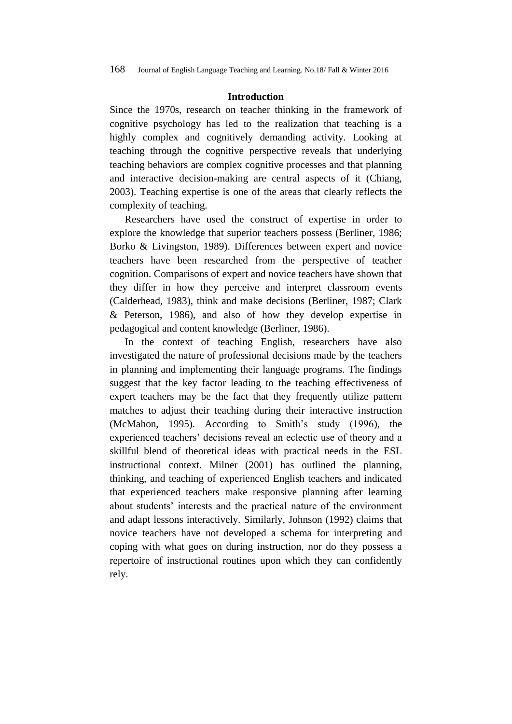#### **Introduction**

Since the 1970s, research on teacher thinking in the framework of cognitive psychology has led to the realization that teaching is a highly complex and cognitively demanding activity. Looking at teaching through the cognitive perspective reveals that underlying teaching behaviors are complex cognitive processes and that planning and interactive decision-making are central aspects of it (Chiang, 2003). Teaching expertise is one of the areas that clearly reflects the complexity of teaching.

Researchers have used the construct of expertise in order to explore the knowledge that superior teachers possess (Berliner, 1986; Borko & Livingston, 1989). Differences between expert and novice teachers have been researched from the perspective of teacher cognition. Comparisons of expert and novice teachers have shown that they differ in how they perceive and interpret classroom events (Calderhead, 1983), think and make decisions (Berliner, 1987; Clark & Peterson, 1986), and also of how they develop expertise in pedagogical and content knowledge (Berliner, 1986).

In the context of teaching English, researchers have also investigated the nature of professional decisions made by the teachers in planning and implementing their language programs. The findings suggest that the key factor leading to the teaching effectiveness of expert teachers may be the fact that they frequently utilize pattern matches to adjust their teaching during their interactive instruction (McMahon, 1995). According to Smith's study (1996), the experienced teachers' decisions reveal an eclectic use of theory and a skillful blend of theoretical ideas with practical needs in the ESL instructional context. Milner (2001) has outlined the planning, thinking, and teaching of experienced English teachers and indicated that experienced teachers make responsive planning after learning about students' interests and the practical nature of the environment and adapt lessons interactively. Similarly, Johnson (1992) claims that novice teachers have not developed a schema for interpreting and coping with what goes on during instruction, nor do they possess a repertoire of instructional routines upon which they can confidently rely.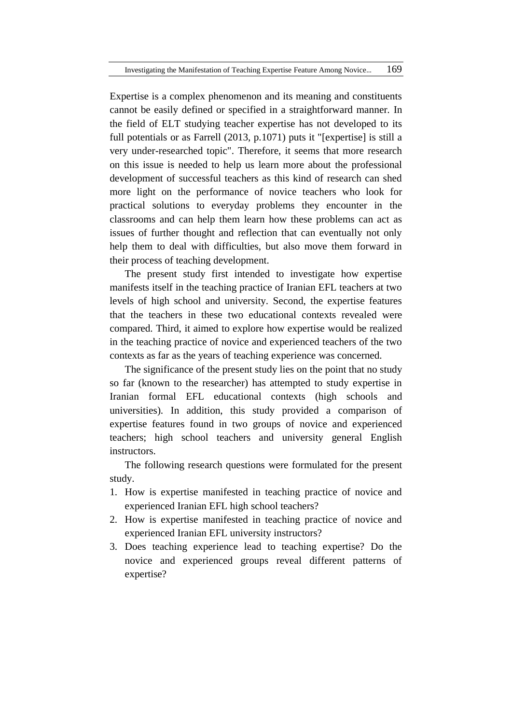Expertise is a complex phenomenon and its meaning and constituents cannot be easily defined or specified in a straightforward manner. In the field of ELT studying teacher expertise has not developed to its full potentials or as Farrell (2013, p.1071) puts it "[expertise] is still a very under-researched topic". Therefore, it seems that more research on this issue is needed to help us learn more about the professional development of successful teachers as this kind of research can shed more light on the performance of novice teachers who look for practical solutions to everyday problems they encounter in the classrooms and can help them learn how these problems can act as issues of further thought and reflection that can eventually not only help them to deal with difficulties, but also move them forward in their process of teaching development.

The present study first intended to investigate how expertise manifests itself in the teaching practice of Iranian EFL teachers at two levels of high school and university. Second, the expertise features that the teachers in these two educational contexts revealed were compared. Third, it aimed to explore how expertise would be realized in the teaching practice of novice and experienced teachers of the two contexts as far as the years of teaching experience was concerned.

The significance of the present study lies on the point that no study so far (known to the researcher) has attempted to study expertise in Iranian formal EFL educational contexts (high schools and universities). In addition, this study provided a comparison of expertise features found in two groups of novice and experienced teachers; high school teachers and university general English instructors.

The following research questions were formulated for the present study.

- 1. How is expertise manifested in teaching practice of novice and experienced Iranian EFL high school teachers?
- 2. How is expertise manifested in teaching practice of novice and experienced Iranian EFL university instructors?
- 3. Does teaching experience lead to teaching expertise? Do the novice and experienced groups reveal different patterns of expertise?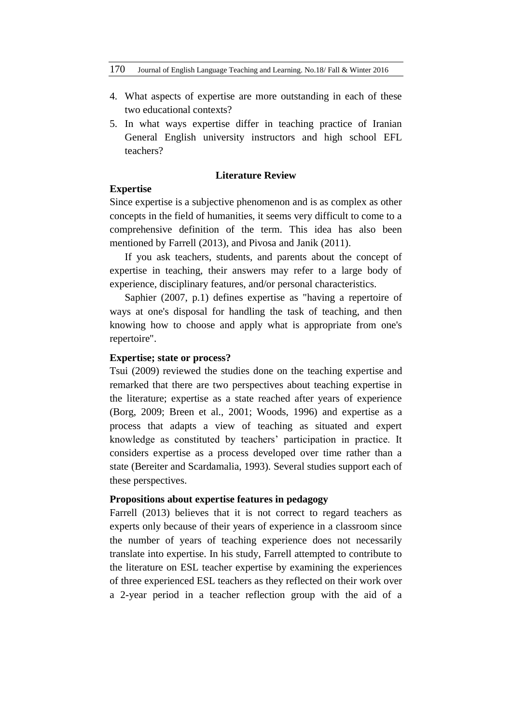- 4. What aspects of expertise are more outstanding in each of these two educational contexts?
- 5. In what ways expertise differ in teaching practice of Iranian General English university instructors and high school EFL teachers?

# **Literature Review**

## **Expertise**

Since expertise is a subjective phenomenon and is as complex as other concepts in the field of humanities, it seems very difficult to come to a comprehensive definition of the term. This idea has also been mentioned by Farrell (2013), and Pivosa and Janik (2011).

If you ask teachers, students, and parents about the concept of expertise in teaching, their answers may refer to a large body of experience, disciplinary features, and/or personal characteristics.

Saphier (2007, p.1) defines expertise as "having a repertoire of ways at one's disposal for handling the task of teaching, and then knowing how to choose and apply what is appropriate from one's repertoire".

## **Expertise; state or process?**

Tsui (2009) reviewed the studies done on the teaching expertise and remarked that there are two perspectives about teaching expertise in the literature; expertise as a state reached after years of experience (Borg, 2009; Breen et al., 2001; Woods, 1996) and expertise as a process that adapts a view of teaching as situated and expert knowledge as constituted by teachers' participation in practice. It considers expertise as a process developed over time rather than a state (Bereiter and Scardamalia, 1993). Several studies support each of these perspectives.

#### **Propositions about expertise features in pedagogy**

Farrell (2013) believes that it is not correct to regard teachers as experts only because of their years of experience in a classroom since the number of years of teaching experience does not necessarily translate into expertise. In his study, Farrell attempted to contribute to the literature on ESL teacher expertise by examining the experiences of three experienced ESL teachers as they reflected on their work over a 2-year period in a teacher reflection group with the aid of a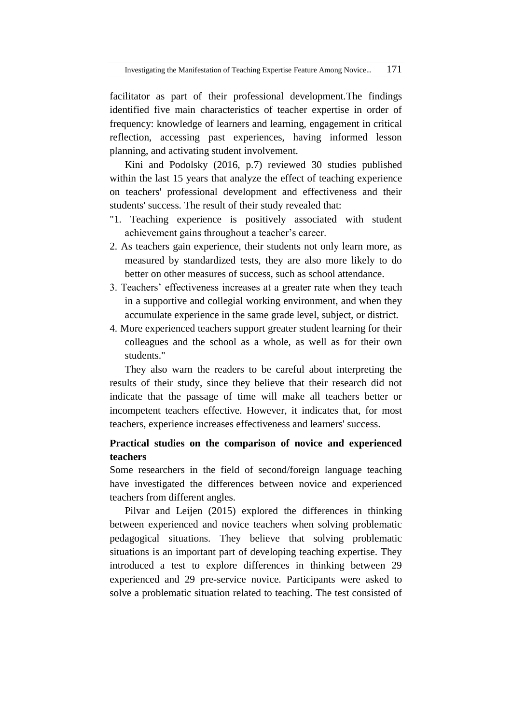facilitator as part of their professional development.The findings identified five main characteristics of teacher expertise in order of frequency: knowledge of learners and learning, engagement in critical reflection, accessing past experiences, having informed lesson planning, and activating student involvement.

Kini and Podolsky (2016, p.7) reviewed 30 studies published within the last 15 years that analyze the effect of teaching experience on teachers' professional development and effectiveness and their students' success. The result of their study revealed that:

- "1. Teaching experience is positively associated with student achievement gains throughout a teacher's career.
- 2. As teachers gain experience, their students not only learn more, as measured by standardized tests, they are also more likely to do better on other measures of success, such as school attendance.
- 3. Teachers' effectiveness increases at a greater rate when they teach in a supportive and collegial working environment, and when they accumulate experience in the same grade level, subject, or district.
- 4. More experienced teachers support greater student learning for their colleagues and the school as a whole, as well as for their own students."

They also warn the readers to be careful about interpreting the results of their study, since they believe that their research did not indicate that the passage of time will make all teachers better or incompetent teachers effective. However, it indicates that, for most teachers, experience increases effectiveness and learners' success.

# **Practical studies on the comparison of novice and experienced teachers**

Some researchers in the field of second/foreign language teaching have investigated the differences between novice and experienced teachers from different angles.

Pilvar and Leijen (2015) explored the differences in thinking between experienced and novice teachers when solving problematic pedagogical situations. They believe that solving problematic situations is an important part of developing teaching expertise. They introduced a test to explore differences in thinking between 29 experienced and 29 pre-service novice. Participants were asked to solve a problematic situation related to teaching. The test consisted of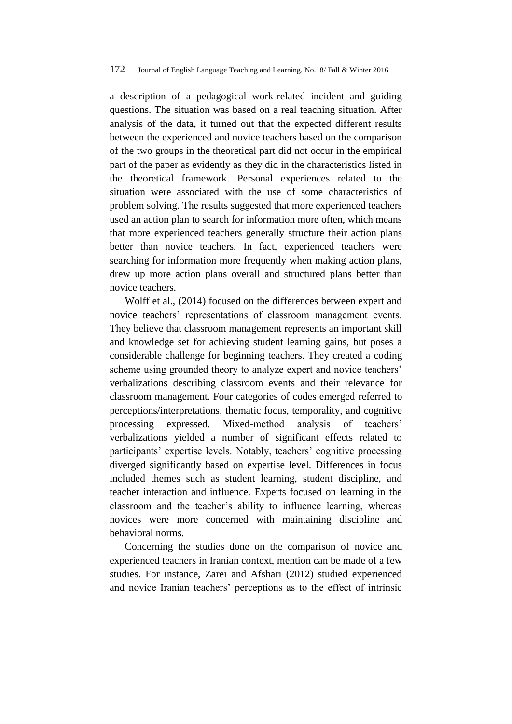a description of a pedagogical work-related incident and guiding questions. The situation was based on a real teaching situation. After analysis of the data, it turned out that the expected different results between the experienced and novice teachers based on the comparison of the two groups in the theoretical part did not occur in the empirical part of the paper as evidently as they did in the characteristics listed in the theoretical framework. Personal experiences related to the situation were associated with the use of some characteristics of problem solving. The results suggested that more experienced teachers used an action plan to search for information more often, which means that more experienced teachers generally structure their action plans better than novice teachers. In fact, experienced teachers were searching for information more frequently when making action plans, drew up more action plans overall and structured plans better than novice teachers.

Wolff et al., (2014) focused on the differences between expert and novice teachers' representations of classroom management events. They believe that classroom management represents an important skill and knowledge set for achieving student learning gains, but poses a considerable challenge for beginning teachers. They created a coding scheme using grounded theory to analyze expert and novice teachers' verbalizations describing classroom events and their relevance for classroom management. Four categories of codes emerged referred to perceptions/interpretations, thematic focus, temporality, and cognitive processing expressed. Mixed-method analysis of teachers' verbalizations yielded a number of significant effects related to participants' expertise levels. Notably, teachers' cognitive processing diverged significantly based on expertise level. Differences in focus included themes such as student learning, student discipline, and teacher interaction and influence. Experts focused on learning in the classroom and the teacher's ability to influence learning, whereas novices were more concerned with maintaining discipline and behavioral norms.

Concerning the studies done on the comparison of novice and experienced teachers in Iranian context, mention can be made of a few studies. For instance, Zarei and Afshari (2012) studied experienced and novice Iranian teachers' perceptions as to the effect of intrinsic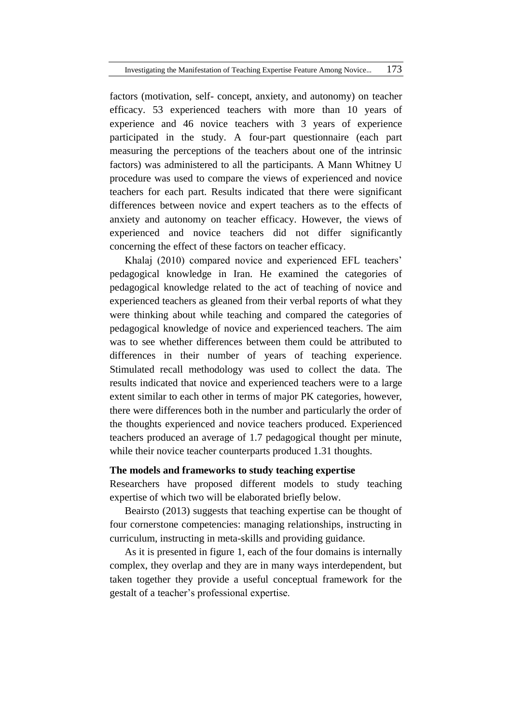factors (motivation, self- concept, anxiety, and autonomy) on teacher efficacy. 53 experienced teachers with more than 10 years of experience and 46 novice teachers with 3 years of experience participated in the study. A four-part questionnaire (each part measuring the perceptions of the teachers about one of the intrinsic factors) was administered to all the participants. A Mann Whitney U procedure was used to compare the views of experienced and novice teachers for each part. Results indicated that there were significant differences between novice and expert teachers as to the effects of anxiety and autonomy on teacher efficacy. However, the views of experienced and novice teachers did not differ significantly concerning the effect of these factors on teacher efficacy.

Khalaj (2010) compared novice and experienced EFL teachers' pedagogical knowledge in Iran. He examined the categories of pedagogical knowledge related to the act of teaching of novice and experienced teachers as gleaned from their verbal reports of what they were thinking about while teaching and compared the categories of pedagogical knowledge of novice and experienced teachers. The aim was to see whether differences between them could be attributed to differences in their number of years of teaching experience. Stimulated recall methodology was used to collect the data. The results indicated that novice and experienced teachers were to a large extent similar to each other in terms of major PK categories, however, there were differences both in the number and particularly the order of the thoughts experienced and novice teachers produced. Experienced teachers produced an average of 1.7 pedagogical thought per minute, while their novice teacher counterparts produced 1.31 thoughts.

#### **The models and frameworks to study teaching expertise**

Researchers have proposed different models to study teaching expertise of which two will be elaborated briefly below.

Beairsto (2013) suggests that teaching expertise can be thought of four cornerstone competencies: managing relationships, instructing in curriculum, instructing in meta-skills and providing guidance.

As it is presented in figure 1, each of the four domains is internally complex, they overlap and they are in many ways interdependent, but taken together they provide a useful conceptual framework for the gestalt of a teacher's professional expertise.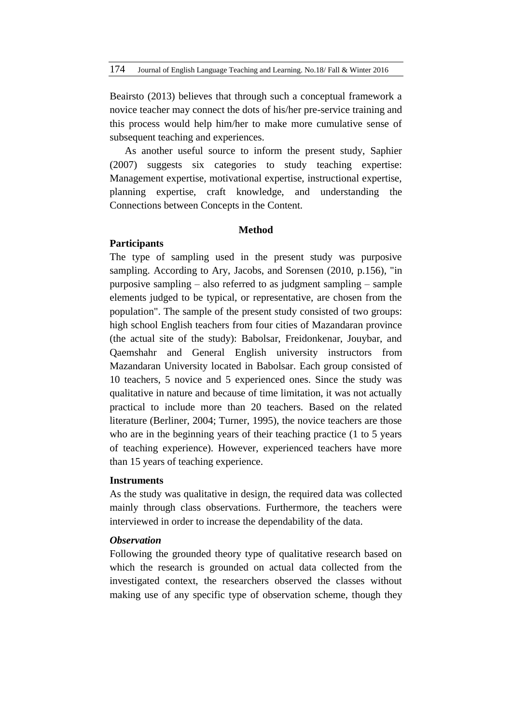Beairsto (2013) believes that through such a conceptual framework a novice teacher may connect the dots of his/her pre-service training and this process would help him/her to make more cumulative sense of subsequent teaching and experiences.

As another useful source to inform the present study, Saphier (2007) suggests six categories to study teaching expertise: Management expertise, motivational expertise, instructional expertise, planning expertise, craft knowledge, and understanding the Connections between Concepts in the Content.

# **Method**

# **Participants**

The type of sampling used in the present study was purposive sampling. According to Ary, Jacobs, and Sorensen (2010, p.156), "in purposive sampling – also referred to as judgment sampling – sample elements judged to be typical, or representative, are chosen from the population". The sample of the present study consisted of two groups: high school English teachers from four cities of Mazandaran province (the actual site of the study): Babolsar, Freidonkenar, Jouybar, and Qaemshahr and General English university instructors from Mazandaran University located in Babolsar. Each group consisted of 10 teachers, 5 novice and 5 experienced ones. Since the study was qualitative in nature and because of time limitation, it was not actually practical to include more than 20 teachers. Based on the related literature (Berliner, 2004; Turner, 1995), the novice teachers are those who are in the beginning years of their teaching practice (1 to 5 years of teaching experience). However, experienced teachers have more than 15 years of teaching experience.

### **Instruments**

As the study was qualitative in design, the required data was collected mainly through class observations. Furthermore, the teachers were interviewed in order to increase the dependability of the data.

## *Observation*

Following the grounded theory type of qualitative research based on which the research is grounded on actual data collected from the investigated context, the researchers observed the classes without making use of any specific type of observation scheme, though they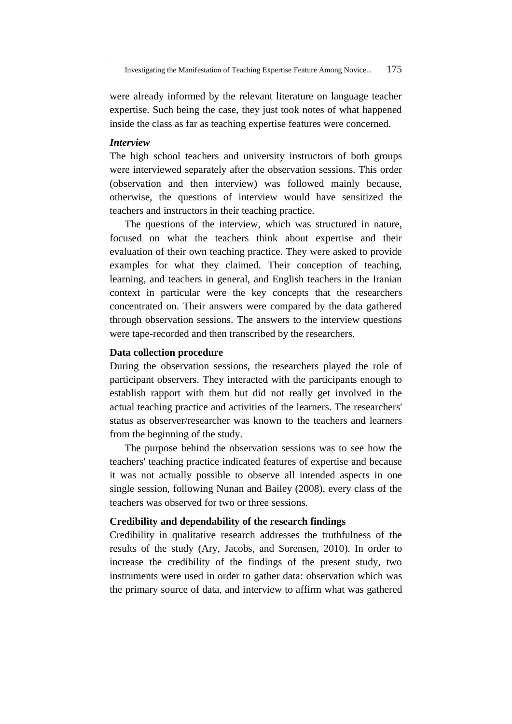were already informed by the relevant literature on language teacher expertise. Such being the case, they just took notes of what happened inside the class as far as teaching expertise features were concerned.

## *Interview*

The high school teachers and university instructors of both groups were interviewed separately after the observation sessions. This order (observation and then interview) was followed mainly because, otherwise, the questions of interview would have sensitized the teachers and instructors in their teaching practice.

The questions of the interview, which was structured in nature, focused on what the teachers think about expertise and their evaluation of their own teaching practice. They were asked to provide examples for what they claimed. Their conception of teaching, learning, and teachers in general, and English teachers in the Iranian context in particular were the key concepts that the researchers concentrated on. Their answers were compared by the data gathered through observation sessions. The answers to the interview questions were tape-recorded and then transcribed by the researchers.

### **Data collection procedure**

During the observation sessions, the researchers played the role of participant observers. They interacted with the participants enough to establish rapport with them but did not really get involved in the actual teaching practice and activities of the learners. The researchers' status as observer/researcher was known to the teachers and learners from the beginning of the study.

The purpose behind the observation sessions was to see how the teachers' teaching practice indicated features of expertise and because it was not actually possible to observe all intended aspects in one single session, following Nunan and Bailey (2008), every class of the teachers was observed for two or three sessions.

### **Credibility and dependability of the research findings**

Credibility in qualitative research addresses the truthfulness of the results of the study (Ary, Jacobs, and Sorensen, 2010). In order to increase the credibility of the findings of the present study, two instruments were used in order to gather data: observation which was the primary source of data, and interview to affirm what was gathered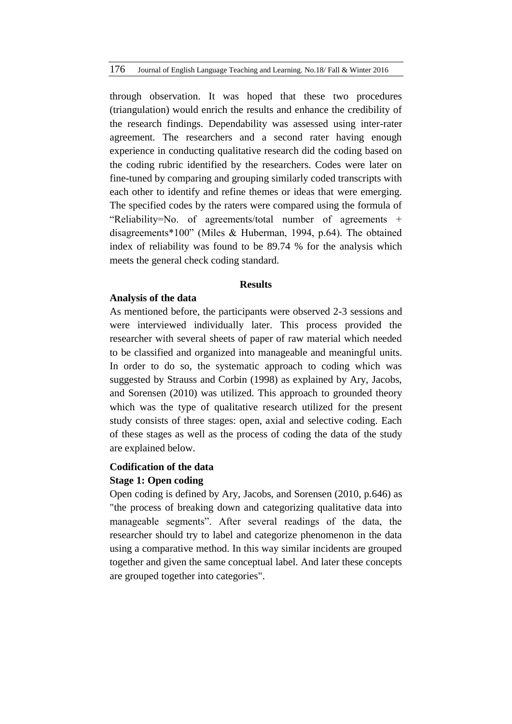through observation. It was hoped that these two procedures (triangulation) would enrich the results and enhance the credibility of the research findings. Dependability was assessed using inter-rater agreement. The researchers and a second rater having enough experience in conducting qualitative research did the coding based on the coding rubric identified by the researchers. Codes were later on fine-tuned by comparing and grouping similarly coded transcripts with each other to identify and refine themes or ideas that were emerging. The specified codes by the raters were compared using the formula of "Reliability=No. of agreements/total number of agreements + disagreements\*100" (Miles & Huberman, 1994, p.64). The obtained index of reliability was found to be 89.74 % for the analysis which meets the general check coding standard.

#### **Results**

# **Analysis of the data**

As mentioned before, the participants were observed 2-3 sessions and were interviewed individually later. This process provided the researcher with several sheets of paper of raw material which needed to be classified and organized into manageable and meaningful units. In order to do so, the systematic approach to coding which was suggested by Strauss and Corbin (1998) as explained by Ary, Jacobs, and Sorensen (2010) was utilized. This approach to grounded theory which was the type of qualitative research utilized for the present study consists of three stages: open, axial and selective coding. Each of these stages as well as the process of coding the data of the study are explained below.

# **Codification of the data**

# **Stage 1: Open coding**

Open coding is defined by Ary, Jacobs, and Sorensen (2010, p.646) as "the process of breaking down and categorizing qualitative data into manageable segments". After several readings of the data, the researcher should try to label and categorize phenomenon in the data using a comparative method. In this way similar incidents are grouped together and given the same conceptual label. And later these concepts are grouped together into categories".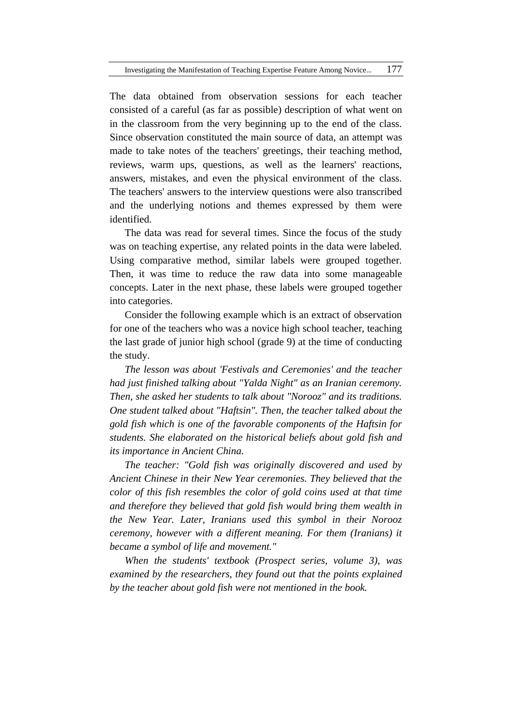The data obtained from observation sessions for each teacher consisted of a careful (as far as possible) description of what went on in the classroom from the very beginning up to the end of the class. Since observation constituted the main source of data, an attempt was made to take notes of the teachers' greetings, their teaching method, reviews, warm ups, questions, as well as the learners' reactions, answers, mistakes, and even the physical environment of the class. The teachers' answers to the interview questions were also transcribed and the underlying notions and themes expressed by them were identified.

The data was read for several times. Since the focus of the study was on teaching expertise, any related points in the data were labeled. Using comparative method, similar labels were grouped together. Then, it was time to reduce the raw data into some manageable concepts. Later in the next phase, these labels were grouped together into categories.

Consider the following example which is an extract of observation for one of the teachers who was a novice high school teacher, teaching the last grade of junior high school (grade 9) at the time of conducting the study.

*The lesson was about 'Festivals and Ceremonies' and the teacher had just finished talking about "Yalda Night" as an Iranian ceremony. Then, she asked her students to talk about "Norooz" and its traditions. One student talked about "Haftsin". Then, the teacher talked about the gold fish which is one of the favorable components of the Haftsin for students. She elaborated on the historical beliefs about gold fish and its importance in Ancient China.* 

*The teacher: "Gold fish was originally discovered and used by Ancient Chinese in their New Year ceremonies. They believed that the color of this fish resembles the color of gold coins used at that time and therefore they believed that gold fish would bring them wealth in the New Year. Later, Iranians used this symbol in their Norooz ceremony, however with a different meaning. For them (Iranians) it became a symbol of life and movement."* 

*When the students' textbook (Prospect series, volume 3), was examined by the researchers, they found out that the points explained by the teacher about gold fish were not mentioned in the book.*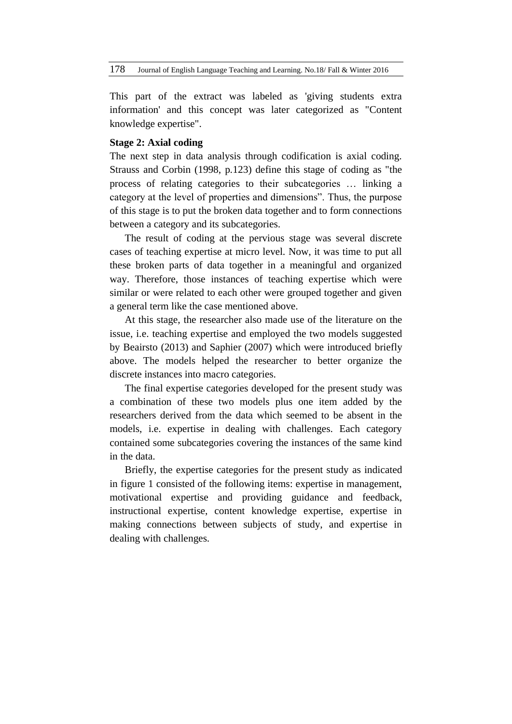This part of the extract was labeled as 'giving students extra information' and this concept was later categorized as "Content knowledge expertise".

# **Stage 2: Axial coding**

The next step in data analysis through codification is axial coding. Strauss and Corbin (1998, p.123) define this stage of coding as "the process of relating categories to their subcategories … linking a category at the level of properties and dimensions". Thus, the purpose of this stage is to put the broken data together and to form connections between a category and its subcategories.

The result of coding at the pervious stage was several discrete cases of teaching expertise at micro level. Now, it was time to put all these broken parts of data together in a meaningful and organized way. Therefore, those instances of teaching expertise which were similar or were related to each other were grouped together and given a general term like the case mentioned above.

At this stage, the researcher also made use of the literature on the issue, i.e. teaching expertise and employed the two models suggested by Beairsto (2013) and Saphier (2007) which were introduced briefly above. The models helped the researcher to better organize the discrete instances into macro categories.

The final expertise categories developed for the present study was a combination of these two models plus one item added by the researchers derived from the data which seemed to be absent in the models, i.e. expertise in dealing with challenges. Each category contained some subcategories covering the instances of the same kind in the data.

Briefly, the expertise categories for the present study as indicated in figure 1 consisted of the following items: expertise in management, motivational expertise and providing guidance and feedback, instructional expertise, content knowledge expertise, expertise in making connections between subjects of study, and expertise in dealing with challenges.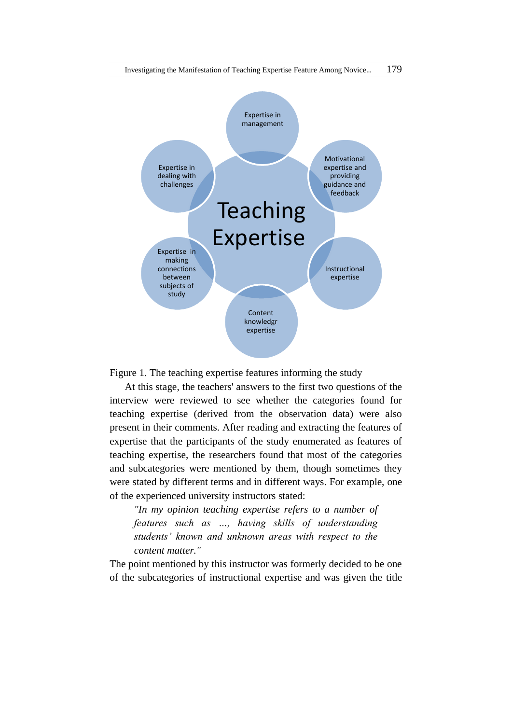

Figure 1. The teaching expertise features informing the study

At this stage, the teachers' answers to the first two questions of the interview were reviewed to see whether the categories found for teaching expertise (derived from the observation data) were also present in their comments. After reading and extracting the features of expertise that the participants of the study enumerated as features of teaching expertise, the researchers found that most of the categories and subcategories were mentioned by them, though sometimes they were stated by different terms and in different ways. For example, one of the experienced university instructors stated:

*"In my opinion teaching expertise refers to a number of features such as …, having skills of understanding students' known and unknown areas with respect to the content matter."* 

The point mentioned by this instructor was formerly decided to be one of the subcategories of instructional expertise and was given the title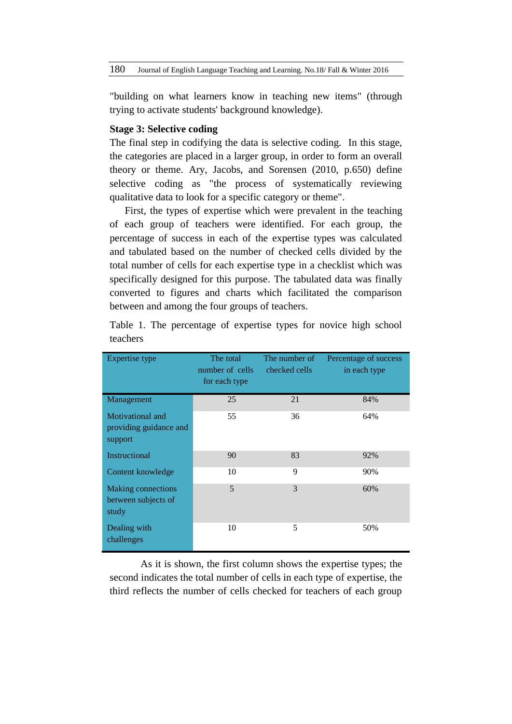"building on what learners know in teaching new items" (through trying to activate students' background knowledge).

# **Stage 3: Selective coding**

The final step in codifying the data is selective coding. In this stage, the categories are placed in a larger group, in order to form an overall theory or theme. Ary, Jacobs, and Sorensen (2010, p.650) define selective coding as "the process of systematically reviewing qualitative data to look for a specific category or theme".

First, the types of expertise which were prevalent in the teaching of each group of teachers were identified. For each group, the percentage of success in each of the expertise types was calculated and tabulated based on the number of checked cells divided by the total number of cells for each expertise type in a checklist which was specifically designed for this purpose. The tabulated data was finally converted to figures and charts which facilitated the comparison between and among the four groups of teachers.

| Expertise type                                        | The total<br>number of cells<br>for each type | The number of<br>checked cells | Percentage of success<br>in each type |
|-------------------------------------------------------|-----------------------------------------------|--------------------------------|---------------------------------------|
| Management                                            | 25                                            | 21                             | 84%                                   |
| Motivational and<br>providing guidance and<br>support | 55                                            | 36                             | 64%                                   |
| Instructional                                         | 90                                            | 83                             | 92%                                   |
| Content knowledge                                     | 10                                            | 9                              | 90%                                   |
| Making connections<br>between subjects of<br>study    | 5                                             | 3                              | 60%                                   |
| Dealing with<br>challenges                            | 10                                            | 5                              | 50%                                   |

Table 1. The percentage of expertise types for novice high school teachers

As it is shown, the first column shows the expertise types; the second indicates the total number of cells in each type of expertise, the third reflects the number of cells checked for teachers of each group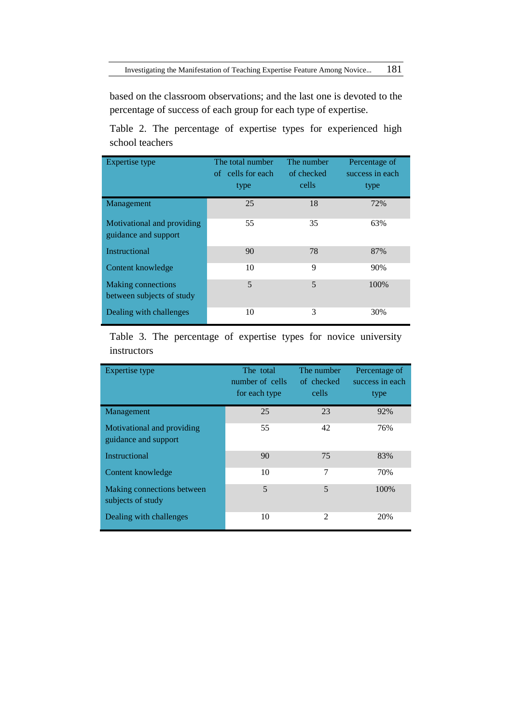based on the classroom observations; and the last one is devoted to the percentage of success of each group for each type of expertise.

Table 2. The percentage of expertise types for experienced high school teachers

| Expertise type                                         | The total number<br>of cells for each<br>type | The number<br>of checked<br>cells | Percentage of<br>success in each<br>type |
|--------------------------------------------------------|-----------------------------------------------|-----------------------------------|------------------------------------------|
| Management                                             | 25                                            | 18                                | 72%                                      |
| Motivational and providing<br>guidance and support     | 55                                            | 35                                | 63%                                      |
| <b>Instructional</b>                                   | 90                                            | 78                                | 87%                                      |
| Content knowledge                                      | 10                                            | 9                                 | 90%                                      |
| <b>Making connections</b><br>between subjects of study | 5                                             | 5                                 | 100%                                     |
| Dealing with challenges                                | 10                                            | 3                                 | 30%                                      |

Table 3. The percentage of expertise types for novice university instructors

| Expertise type                                     | The total<br>number of cells<br>for each type | The number<br>of checked<br>cells | Percentage of<br>success in each<br>type |
|----------------------------------------------------|-----------------------------------------------|-----------------------------------|------------------------------------------|
| Management                                         | 25                                            | 23                                | 92%                                      |
| Motivational and providing<br>guidance and support | 55                                            | 42                                | 76%                                      |
| <b>Instructional</b>                               | 90                                            | 75                                | 83%                                      |
| Content knowledge                                  | 10                                            | 7                                 | 70%                                      |
| Making connections between<br>subjects of study    | 5                                             | 5                                 | 100%                                     |
| Dealing with challenges                            | 10                                            | 2                                 | 20%                                      |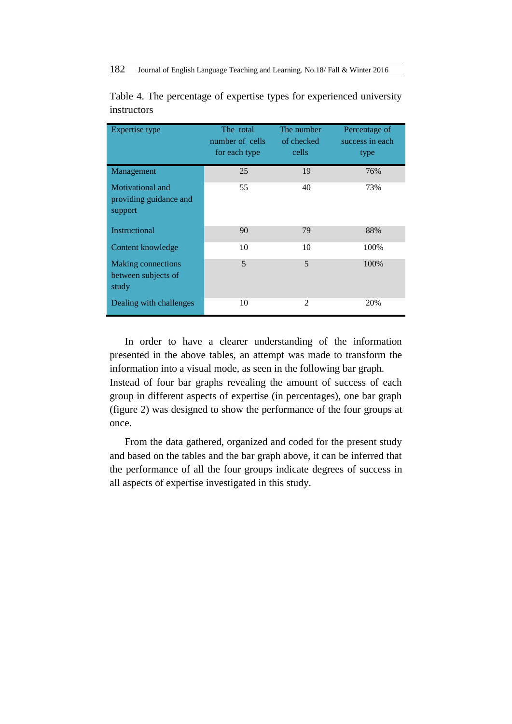| Expertise type                                        | The total<br>number of cells<br>for each type | The number<br>of checked<br>cells | Percentage of<br>success in each<br>type |
|-------------------------------------------------------|-----------------------------------------------|-----------------------------------|------------------------------------------|
| Management                                            | 25                                            | 19                                | 76%                                      |
| Motivational and<br>providing guidance and<br>support | 55                                            | 40                                | 73%                                      |
| <b>Instructional</b>                                  | 90                                            | 79                                | 88%                                      |
| Content knowledge                                     | 10                                            | 10                                | 100%                                     |
| Making connections<br>between subjects of<br>study    | 5                                             | 5                                 | 100%                                     |
| Dealing with challenges                               | 10                                            | $\mathfrak{D}$                    | 20%                                      |

Table 4. The percentage of expertise types for experienced university instructors

In order to have a clearer understanding of the information presented in the above tables, an attempt was made to transform the information into a visual mode, as seen in the following bar graph.

Instead of four bar graphs revealing the amount of success of each group in different aspects of expertise (in percentages), one bar graph (figure 2) was designed to show the performance of the four groups at once.

From the data gathered, organized and coded for the present study and based on the tables and the bar graph above, it can be inferred that the performance of all the four groups indicate degrees of success in all aspects of expertise investigated in this study.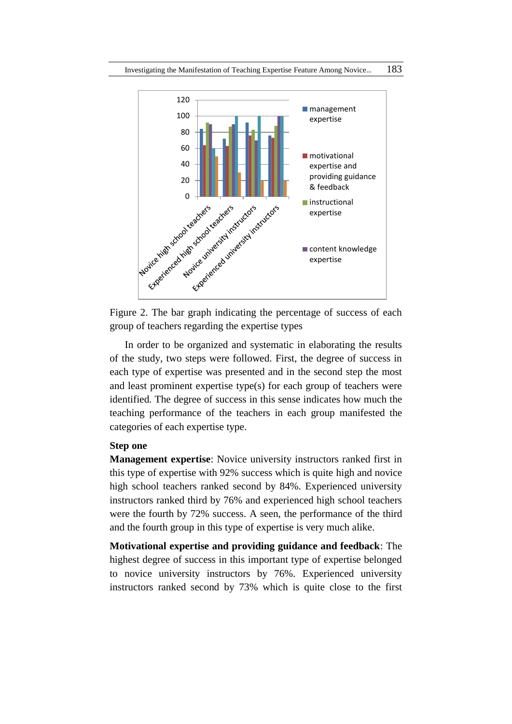

Figure 2. The bar graph indicating the percentage of success of each group of teachers regarding the expertise types

In order to be organized and systematic in elaborating the results of the study, two steps were followed. First, the degree of success in each type of expertise was presented and in the second step the most and least prominent expertise type(s) for each group of teachers were identified. The degree of success in this sense indicates how much the teaching performance of the teachers in each group manifested the categories of each expertise type.

## **Step one**

**Management expertise**: Novice university instructors ranked first in this type of expertise with 92% success which is quite high and novice high school teachers ranked second by 84%. Experienced university instructors ranked third by 76% and experienced high school teachers were the fourth by 72% success. A seen, the performance of the third and the fourth group in this type of expertise is very much alike.

**Motivational expertise and providing guidance and feedback**: The highest degree of success in this important type of expertise belonged to novice university instructors by 76%. Experienced university instructors ranked second by 73% which is quite close to the first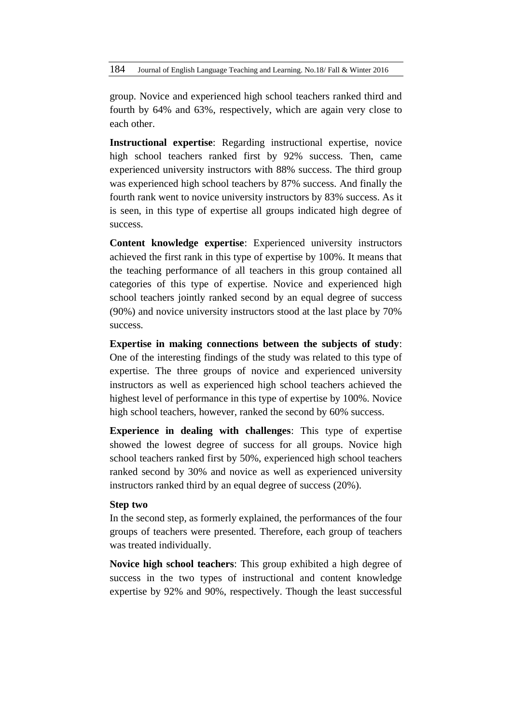group. Novice and experienced high school teachers ranked third and fourth by 64% and 63%, respectively, which are again very close to each other.

**Instructional expertise**: Regarding instructional expertise, novice high school teachers ranked first by 92% success. Then, came experienced university instructors with 88% success. The third group was experienced high school teachers by 87% success. And finally the fourth rank went to novice university instructors by 83% success. As it is seen, in this type of expertise all groups indicated high degree of success.

**Content knowledge expertise**: Experienced university instructors achieved the first rank in this type of expertise by 100%. It means that the teaching performance of all teachers in this group contained all categories of this type of expertise. Novice and experienced high school teachers jointly ranked second by an equal degree of success (90%) and novice university instructors stood at the last place by 70% success.

**Expertise in making connections between the subjects of study**: One of the interesting findings of the study was related to this type of expertise. The three groups of novice and experienced university instructors as well as experienced high school teachers achieved the highest level of performance in this type of expertise by 100%. Novice high school teachers, however, ranked the second by 60% success.

**Experience in dealing with challenges**: This type of expertise showed the lowest degree of success for all groups. Novice high school teachers ranked first by 50%, experienced high school teachers ranked second by 30% and novice as well as experienced university instructors ranked third by an equal degree of success (20%).

# **Step two**

In the second step, as formerly explained, the performances of the four groups of teachers were presented. Therefore, each group of teachers was treated individually.

**Novice high school teachers**: This group exhibited a high degree of success in the two types of instructional and content knowledge expertise by 92% and 90%, respectively. Though the least successful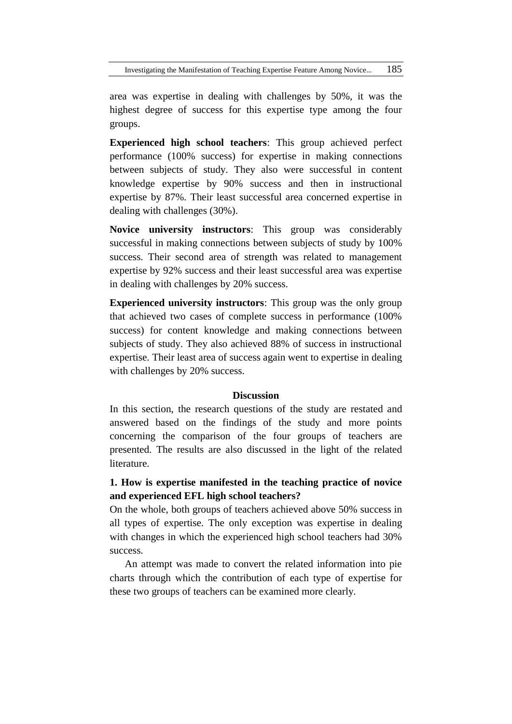area was expertise in dealing with challenges by 50%, it was the highest degree of success for this expertise type among the four groups.

**Experienced high school teachers**: This group achieved perfect performance (100% success) for expertise in making connections between subjects of study. They also were successful in content knowledge expertise by 90% success and then in instructional expertise by 87%. Their least successful area concerned expertise in dealing with challenges (30%).

**Novice university instructors**: This group was considerably successful in making connections between subjects of study by 100% success. Their second area of strength was related to management expertise by 92% success and their least successful area was expertise in dealing with challenges by 20% success.

**Experienced university instructors**: This group was the only group that achieved two cases of complete success in performance (100% success) for content knowledge and making connections between subjects of study. They also achieved 88% of success in instructional expertise. Their least area of success again went to expertise in dealing with challenges by 20% success.

## **Discussion**

In this section, the research questions of the study are restated and answered based on the findings of the study and more points concerning the comparison of the four groups of teachers are presented. The results are also discussed in the light of the related literature.

# **1. How is expertise manifested in the teaching practice of novice and experienced EFL high school teachers?**

On the whole, both groups of teachers achieved above 50% success in all types of expertise. The only exception was expertise in dealing with changes in which the experienced high school teachers had 30% success.

An attempt was made to convert the related information into pie charts through which the contribution of each type of expertise for these two groups of teachers can be examined more clearly.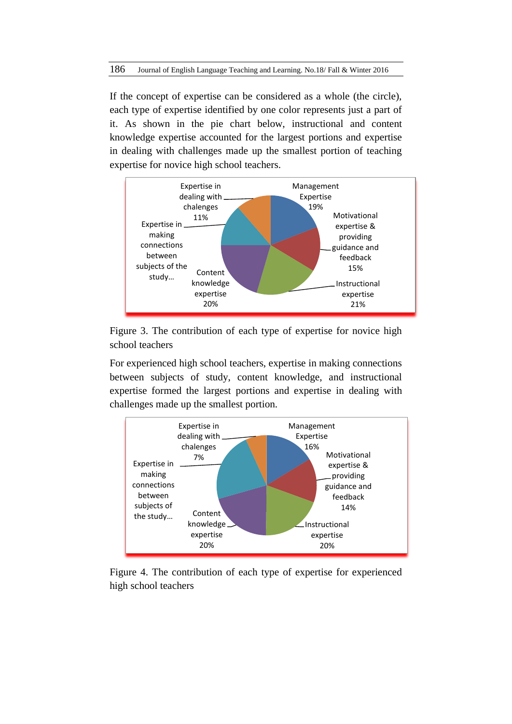If the concept of expertise can be considered as a whole (the circle), each type of expertise identified by one color represents just a part of it. As shown in the pie chart below, instructional and content knowledge expertise accounted for the largest portions and expertise in dealing with challenges made up the smallest portion of teaching expertise for novice high school teachers.



Figure 3. The contribution of each type of expertise for novice high school teachers

For experienced high school teachers, expertise in making connections between subjects of study, content knowledge, and instructional expertise formed the largest portions and expertise in dealing with challenges made up the smallest portion.



Figure 4. The contribution of each type of expertise for experienced high school teachers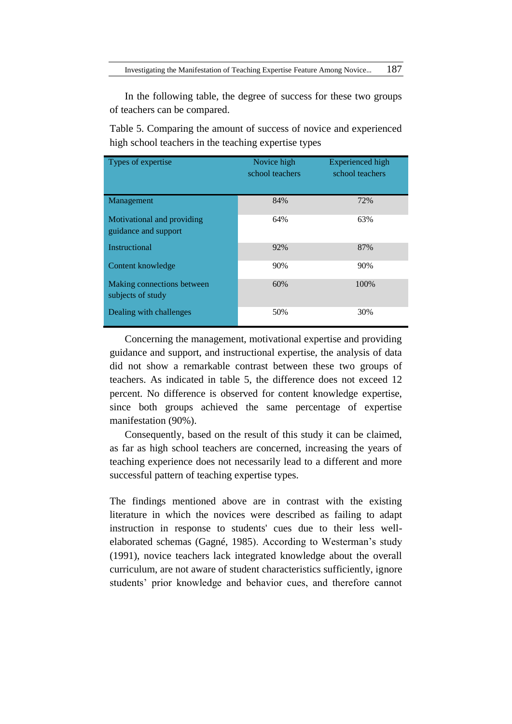In the following table, the degree of success for these two groups of teachers can be compared.

Table 5. Comparing the amount of success of novice and experienced high school teachers in the teaching expertise types

| Types of expertise                                 | Novice high<br>school teachers | <b>Experienced</b> high<br>school teachers |
|----------------------------------------------------|--------------------------------|--------------------------------------------|
| Management                                         | 84%                            | 72%                                        |
| Motivational and providing<br>guidance and support | 64%                            | 63%                                        |
| Instructional                                      | 92%                            | 87%                                        |
| Content knowledge                                  | 90%                            | 90%                                        |
| Making connections between<br>subjects of study    | 60%                            | 100%                                       |
| Dealing with challenges                            | 50%                            | 30%                                        |

Concerning the management, motivational expertise and providing guidance and support, and instructional expertise, the analysis of data did not show a remarkable contrast between these two groups of teachers. As indicated in table 5, the difference does not exceed 12 percent. No difference is observed for content knowledge expertise, since both groups achieved the same percentage of expertise manifestation (90%).

Consequently, based on the result of this study it can be claimed, as far as high school teachers are concerned, increasing the years of teaching experience does not necessarily lead to a different and more successful pattern of teaching expertise types.

The findings mentioned above are in contrast with the existing literature in which the novices were described as failing to adapt instruction in response to students' cues due to their less wellelaborated schemas (Gagné, 1985). According to Westerman's study (1991), novice teachers lack integrated knowledge about the overall curriculum, are not aware of student characteristics sufficiently, ignore students' prior knowledge and behavior cues, and therefore cannot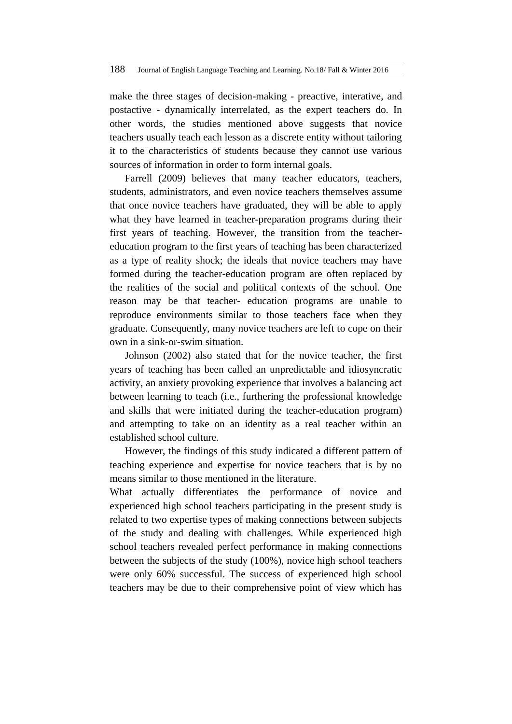make the three stages of decision-making - preactive, interative, and postactive - dynamically interrelated, as the expert teachers do. In other words, the studies mentioned above suggests that novice teachers usually teach each lesson as a discrete entity without tailoring it to the characteristics of students because they cannot use various sources of information in order to form internal goals.

Farrell (2009) believes that many teacher educators, teachers, students, administrators, and even novice teachers themselves assume that once novice teachers have graduated, they will be able to apply what they have learned in teacher-preparation programs during their first years of teaching. However, the transition from the teachereducation program to the first years of teaching has been characterized as a type of reality shock; the ideals that novice teachers may have formed during the teacher-education program are often replaced by the realities of the social and political contexts of the school. One reason may be that teacher- education programs are unable to reproduce environments similar to those teachers face when they graduate. Consequently, many novice teachers are left to cope on their own in a sink-or-swim situation.

Johnson (2002) also stated that for the novice teacher, the first years of teaching has been called an unpredictable and idiosyncratic activity, an anxiety provoking experience that involves a balancing act between learning to teach (i.e., furthering the professional knowledge and skills that were initiated during the teacher-education program) and attempting to take on an identity as a real teacher within an established school culture.

However, the findings of this study indicated a different pattern of teaching experience and expertise for novice teachers that is by no means similar to those mentioned in the literature.

What actually differentiates the performance of novice and experienced high school teachers participating in the present study is related to two expertise types of making connections between subjects of the study and dealing with challenges. While experienced high school teachers revealed perfect performance in making connections between the subjects of the study (100%), novice high school teachers were only 60% successful. The success of experienced high school teachers may be due to their comprehensive point of view which has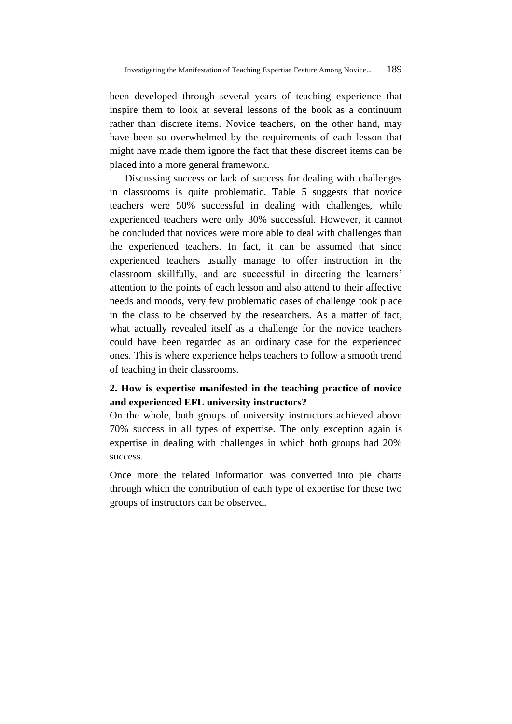been developed through several years of teaching experience that inspire them to look at several lessons of the book as a continuum rather than discrete items. Novice teachers, on the other hand, may have been so overwhelmed by the requirements of each lesson that might have made them ignore the fact that these discreet items can be placed into a more general framework.

Discussing success or lack of success for dealing with challenges in classrooms is quite problematic. Table 5 suggests that novice teachers were 50% successful in dealing with challenges, while experienced teachers were only 30% successful. However, it cannot be concluded that novices were more able to deal with challenges than the experienced teachers. In fact, it can be assumed that since experienced teachers usually manage to offer instruction in the classroom skillfully, and are successful in directing the learners' attention to the points of each lesson and also attend to their affective needs and moods, very few problematic cases of challenge took place in the class to be observed by the researchers. As a matter of fact, what actually revealed itself as a challenge for the novice teachers could have been regarded as an ordinary case for the experienced ones. This is where experience helps teachers to follow a smooth trend of teaching in their classrooms.

# **2. How is expertise manifested in the teaching practice of novice and experienced EFL university instructors?**

On the whole, both groups of university instructors achieved above 70% success in all types of expertise. The only exception again is expertise in dealing with challenges in which both groups had 20% success.

Once more the related information was converted into pie charts through which the contribution of each type of expertise for these two groups of instructors can be observed.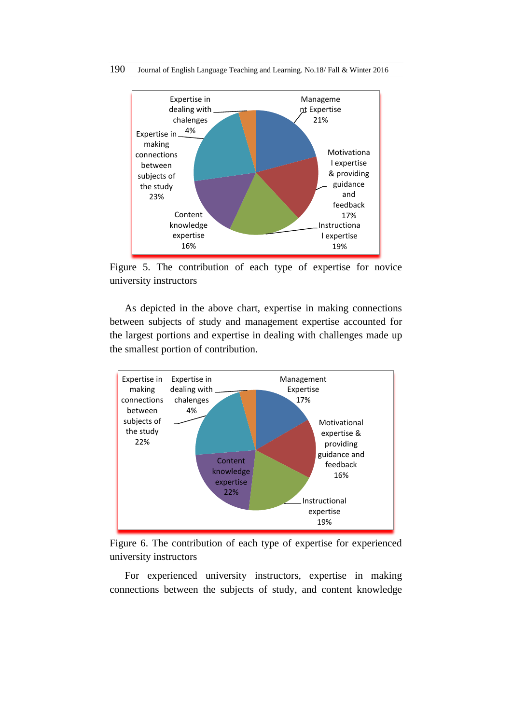

Figure 5. The contribution of each type of expertise for novice university instructors

As depicted in the above chart, expertise in making connections between subjects of study and management expertise accounted for the largest portions and expertise in dealing with challenges made up the smallest portion of contribution.



Figure 6. The contribution of each type of expertise for experienced university instructors

For experienced university instructors, expertise in making connections between the subjects of study, and content knowledge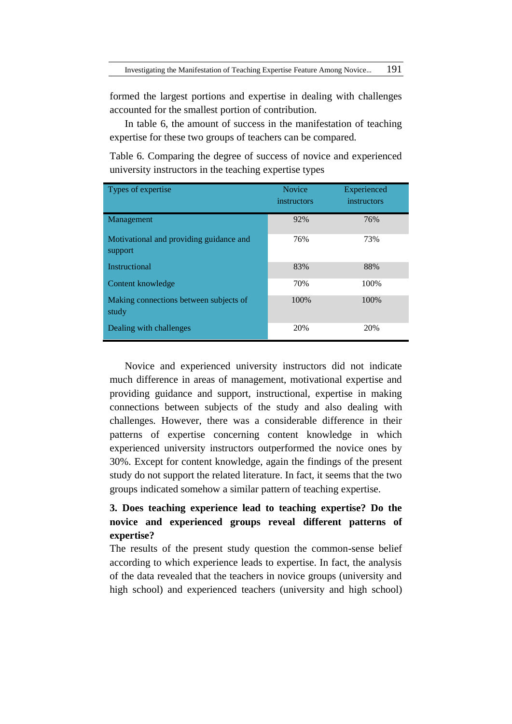formed the largest portions and expertise in dealing with challenges accounted for the smallest portion of contribution.

In table 6, the amount of success in the manifestation of teaching expertise for these two groups of teachers can be compared.

Table 6. Comparing the degree of success of novice and experienced university instructors in the teaching expertise types

| Types of expertise                                 | <b>Novice</b><br>instructors | Experienced<br>instructors |
|----------------------------------------------------|------------------------------|----------------------------|
| Management                                         | 92%                          | 76%                        |
| Motivational and providing guidance and<br>support | 76%                          | 73%                        |
| <b>Instructional</b>                               | 83%                          | 88%                        |
| Content knowledge                                  | 70%                          | 100%                       |
| Making connections between subjects of<br>study    | 100%                         | 100%                       |
| Dealing with challenges                            | 20%                          | 20%                        |

Novice and experienced university instructors did not indicate much difference in areas of management, motivational expertise and providing guidance and support, instructional, expertise in making connections between subjects of the study and also dealing with challenges. However, there was a considerable difference in their patterns of expertise concerning content knowledge in which experienced university instructors outperformed the novice ones by 30%. Except for content knowledge, again the findings of the present study do not support the related literature. In fact, it seems that the two groups indicated somehow a similar pattern of teaching expertise.

# **3. Does teaching experience lead to teaching expertise? Do the novice and experienced groups reveal different patterns of expertise?**

The results of the present study question the common-sense belief according to which experience leads to expertise. In fact, the analysis of the data revealed that the teachers in novice groups (university and high school) and experienced teachers (university and high school)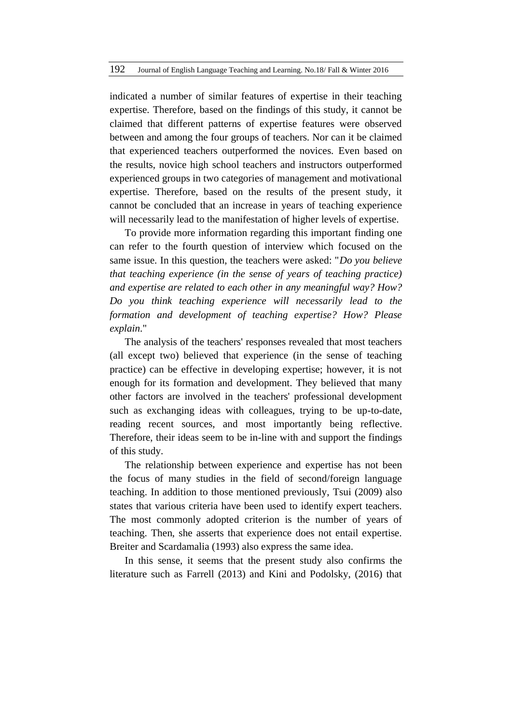indicated a number of similar features of expertise in their teaching expertise. Therefore, based on the findings of this study, it cannot be claimed that different patterns of expertise features were observed between and among the four groups of teachers. Nor can it be claimed that experienced teachers outperformed the novices. Even based on the results, novice high school teachers and instructors outperformed experienced groups in two categories of management and motivational expertise. Therefore, based on the results of the present study, it cannot be concluded that an increase in years of teaching experience will necessarily lead to the manifestation of higher levels of expertise.

To provide more information regarding this important finding one can refer to the fourth question of interview which focused on the same issue. In this question, the teachers were asked: "*Do you believe that teaching experience (in the sense of years of teaching practice) and expertise are related to each other in any meaningful way? How? Do you think teaching experience will necessarily lead to the formation and development of teaching expertise? How? Please explain*."

The analysis of the teachers' responses revealed that most teachers (all except two) believed that experience (in the sense of teaching practice) can be effective in developing expertise; however, it is not enough for its formation and development. They believed that many other factors are involved in the teachers' professional development such as exchanging ideas with colleagues, trying to be up-to-date, reading recent sources, and most importantly being reflective. Therefore, their ideas seem to be in-line with and support the findings of this study.

The relationship between experience and expertise has not been the focus of many studies in the field of second/foreign language teaching. In addition to those mentioned previously, Tsui (2009) also states that various criteria have been used to identify expert teachers. The most commonly adopted criterion is the number of years of teaching. Then, she asserts that experience does not entail expertise. Breiter and Scardamalia (1993) also express the same idea.

In this sense, it seems that the present study also confirms the literature such as Farrell (2013) and Kini and Podolsky, (2016) that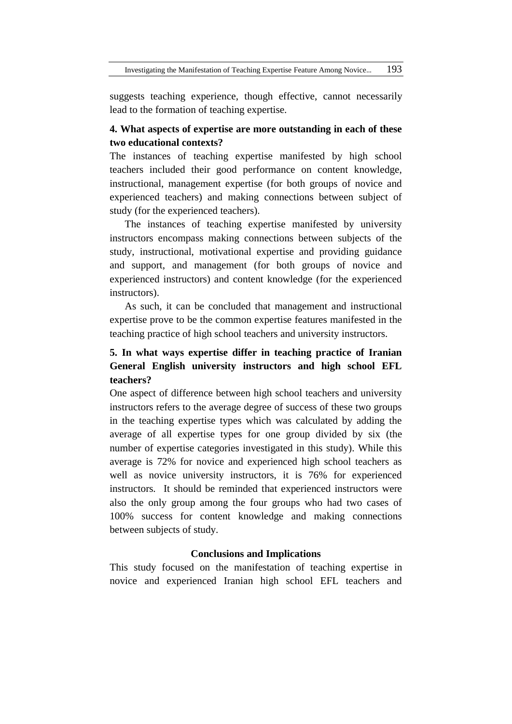suggests teaching experience, though effective, cannot necessarily lead to the formation of teaching expertise.

# **4. What aspects of expertise are more outstanding in each of these two educational contexts?**

The instances of teaching expertise manifested by high school teachers included their good performance on content knowledge, instructional, management expertise (for both groups of novice and experienced teachers) and making connections between subject of study (for the experienced teachers).

The instances of teaching expertise manifested by university instructors encompass making connections between subjects of the study, instructional, motivational expertise and providing guidance and support, and management (for both groups of novice and experienced instructors) and content knowledge (for the experienced instructors).

As such, it can be concluded that management and instructional expertise prove to be the common expertise features manifested in the teaching practice of high school teachers and university instructors.

# **5. In what ways expertise differ in teaching practice of Iranian General English university instructors and high school EFL teachers?**

One aspect of difference between high school teachers and university instructors refers to the average degree of success of these two groups in the teaching expertise types which was calculated by adding the average of all expertise types for one group divided by six (the number of expertise categories investigated in this study). While this average is 72% for novice and experienced high school teachers as well as novice university instructors, it is 76% for experienced instructors. It should be reminded that experienced instructors were also the only group among the four groups who had two cases of 100% success for content knowledge and making connections between subjects of study.

### **Conclusions and Implications**

This study focused on the manifestation of teaching expertise in novice and experienced Iranian high school EFL teachers and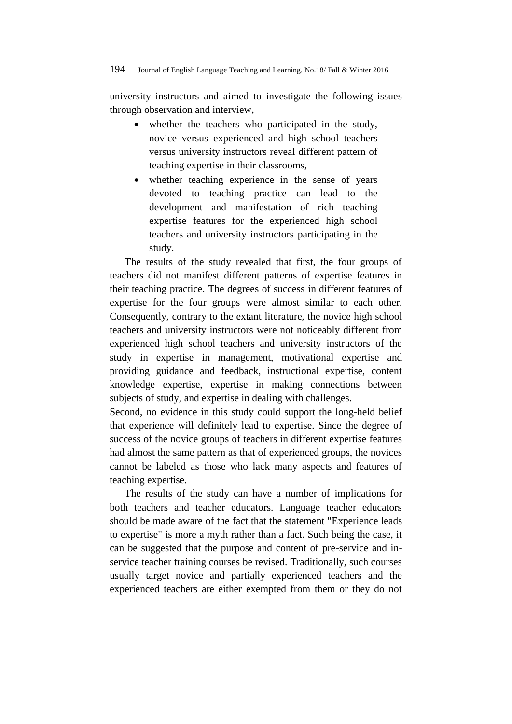university instructors and aimed to investigate the following issues through observation and interview,

- whether the teachers who participated in the study, novice versus experienced and high school teachers versus university instructors reveal different pattern of teaching expertise in their classrooms,
- whether teaching experience in the sense of years devoted to teaching practice can lead to the development and manifestation of rich teaching expertise features for the experienced high school teachers and university instructors participating in the study.

The results of the study revealed that first, the four groups of teachers did not manifest different patterns of expertise features in their teaching practice. The degrees of success in different features of expertise for the four groups were almost similar to each other. Consequently, contrary to the extant literature, the novice high school teachers and university instructors were not noticeably different from experienced high school teachers and university instructors of the study in expertise in management, motivational expertise and providing guidance and feedback, instructional expertise, content knowledge expertise, expertise in making connections between subjects of study, and expertise in dealing with challenges.

Second, no evidence in this study could support the long-held belief that experience will definitely lead to expertise. Since the degree of success of the novice groups of teachers in different expertise features had almost the same pattern as that of experienced groups, the novices cannot be labeled as those who lack many aspects and features of teaching expertise.

The results of the study can have a number of implications for both teachers and teacher educators. Language teacher educators should be made aware of the fact that the statement "Experience leads to expertise" is more a myth rather than a fact. Such being the case, it can be suggested that the purpose and content of pre-service and inservice teacher training courses be revised. Traditionally, such courses usually target novice and partially experienced teachers and the experienced teachers are either exempted from them or they do not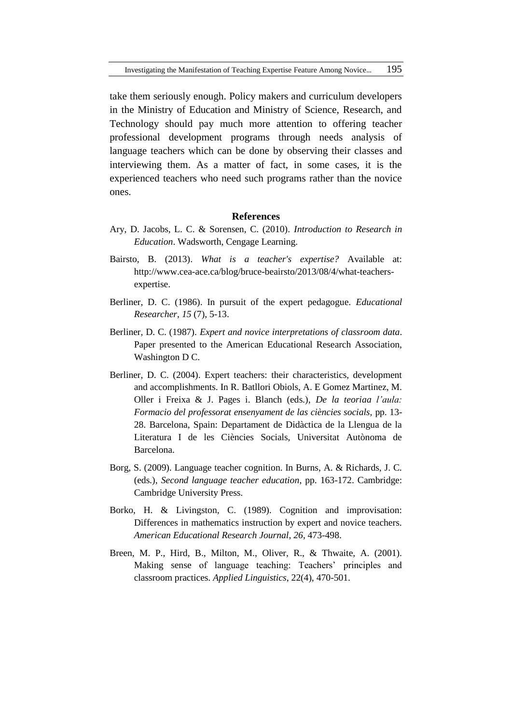take them seriously enough. Policy makers and curriculum developers in the Ministry of Education and Ministry of Science, Research, and Technology should pay much more attention to offering teacher professional development programs through needs analysis of language teachers which can be done by observing their classes and interviewing them. As a matter of fact, in some cases, it is the experienced teachers who need such programs rather than the novice ones.

#### **References**

- Ary, D. Jacobs, L. C. & Sorensen, C. (2010). *Introduction to Research in Education*. Wadsworth, Cengage Learning.
- Bairsto, B. (2013). *What is a teacher's expertise?* Available at: [http://www.cea-ace.ca/blog/bruce-beairsto/2013/08/4/what-teachers](http://www.cea-ace.ca/blog/bruce-beairsto/2013/08/4/what-teachers-expertise)[expertise.](http://www.cea-ace.ca/blog/bruce-beairsto/2013/08/4/what-teachers-expertise)
- Berliner, D. C. (1986). In pursuit of the expert pedagogue. *Educational Researcher*, *15* (7), 5-13.
- Berliner, D. C. (1987). *Expert and novice interpretations of classroom data*. Paper presented to the American Educational Research Association, Washington D C.
- Berliner, D. C. (2004). Expert teachers: their characteristics, development and accomplishments. In R. Batllori Obiols, A. E Gomez Martinez, M. Oller i Freixa & J. Pages i. Blanch (eds.), *De la teoriaa l'aula: Formacio del professorat ensenyament de las ciències socials,* pp. 13- 28. Barcelona, Spain: Departament de Didàctica de la Llengua de la Literatura I de les Ciències Socials, Universitat Autònoma de Barcelona.
- Borg, S. (2009). Language teacher cognition. In Burns, A. & Richards, J. C. (eds.), *Second language teacher education*, pp. 163-172. Cambridge: Cambridge University Press.
- Borko, H. & Livingston, C. (1989). Cognition and improvisation: Differences in mathematics instruction by expert and novice teachers. *American Educational Research Journal*, *26*, 473-498.
- Breen, M. P., Hird, B., Milton, M., Oliver, R., & Thwaite, A. (2001). Making sense of language teaching: Teachers' principles and classroom practices. *Applied Linguistics*, 22(4), 470-501.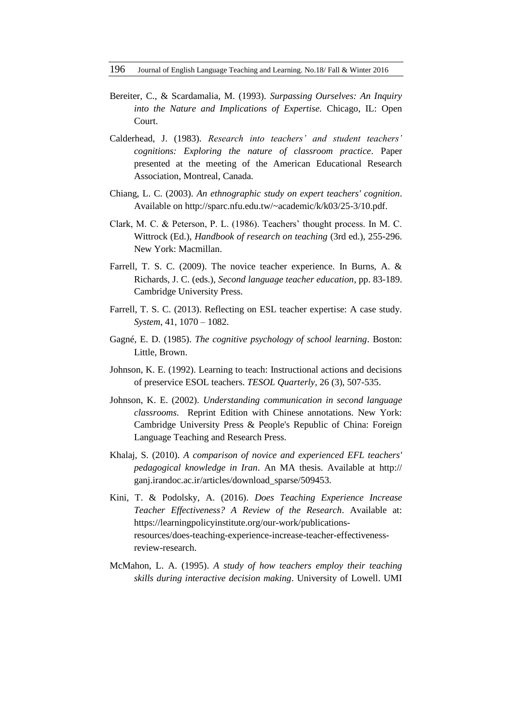- Bereiter, C., & Scardamalia, M. (1993). *Surpassing Ourselves: An Inquiry into the Nature and Implications of Expertise.* Chicago, IL: Open Court.
- Calderhead, J. (1983). *Research into teachers' and student teachers' cognitions: Exploring the nature of classroom practice*. Paper presented at the meeting of the American Educational Research Association, Montreal, Canada.
- Chiang, L. C. (2003). *An ethnographic study on expert teachers' cognition*. Available on http://sparc.nfu.edu.tw/~academic/k/k03/25-3/10.pdf.
- Clark, M. C. & Peterson, P. L. (1986). Teachers' thought process. In M. C. Wittrock (Ed.), *Handbook of research on teaching* (3rd ed.), 255-296. New York: Macmillan.
- Farrell, T. S. C. (2009). The novice teacher experience. In Burns, A. & Richards, J. C. (eds.), *Second language teacher education*, pp. 83-189. Cambridge University Press.
- Farrell, T. S. C. (2013). Reflecting on ESL teacher expertise: A case study. *System*, 41, 1070 – 1082.
- Gagné, E. D. (1985). *The cognitive psychology of school learning*. Boston: Little, Brown.
- Johnson, K. E. (1992). Learning to teach: Instructional actions and decisions of preservice ESOL teachers. *TESOL Quarterly,* 26 (3), 507-535.
- Johnson, K. E. (2002). *Understanding communication in second language classrooms*. Reprint Edition with Chinese annotations. New York: Cambridge University Press & People's Republic of China: Foreign Language Teaching and Research Press.
- Khalaj, S. (2010). *A comparison of novice and experienced EFL teachers' pedagogical knowledge in Iran*. An MA thesis. Available at http:// ganj.irandoc.ac.ir/articles/download\_sparse/509453*.*
- Kini, T. & Podolsky, A. (2016). *Does Teaching Experience Increase Teacher Effectiveness? A Review of the Research*. Available at: [https://learningpolicyinstitute.org/our-work/publications](https://learningpolicyinstitute.org/our-work/publications-resources/does-teaching-experience-increase-teacher-effectiveness-review-research.)[resources/does-teaching-experience-increase-teacher-effectiveness](https://learningpolicyinstitute.org/our-work/publications-resources/does-teaching-experience-increase-teacher-effectiveness-review-research.)[review-research.](https://learningpolicyinstitute.org/our-work/publications-resources/does-teaching-experience-increase-teacher-effectiveness-review-research.)
- McMahon, L. A. (1995). *A study of how teachers employ their teaching skills during interactive decision making*. University of Lowell. UMI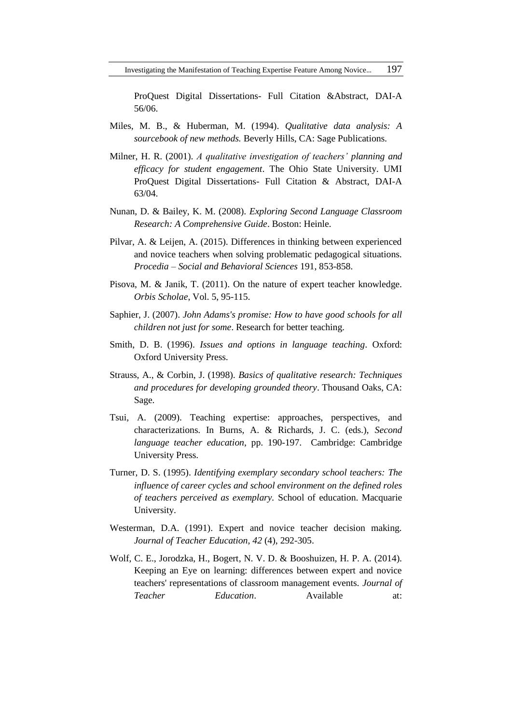ProQuest Digital Dissertations- Full Citation &Abstract, DAI-A 56/06.

- Miles, M. B., & Huberman, M. (1994). *Qualitative data analysis: A sourcebook of new methods.* Beverly Hills, CA: Sage Publications.
- Milner, H. R. (2001). *A qualitative investigation of teachers' planning and efficacy for student engagement*. The Ohio State University. UMI ProQuest Digital Dissertations- Full Citation & Abstract, DAI-A 63/04.
- Nunan, D. & Bailey, K. M. (2008). *Exploring Second Language Classroom Research: A Comprehensive Guide*. Boston: Heinle.
- Pilvar, A. & Leijen, A. (2015). Differences in thinking between experienced and novice teachers when solving problematic pedagogical situations. *Procedia – Social and Behavioral Sciences* 191, 853-858.
- Pisova, M. & Janik, T. (2011). On the nature of expert teacher knowledge. *Orbis Scholae*, Vol. 5, 95-115.
- Saphier, J. (2007). *John Adams's promise: How to have good schools for all children not just for some*. Research for better teaching.
- Smith, D. B. (1996). *Issues and options in language teaching*. Oxford: Oxford University Press.
- Strauss, A., & Corbin, J. (1998). *Basics of qualitative research: Techniques and procedures for developing grounded theory*. Thousand Oaks, CA: Sage.
- Tsui, A. (2009). Teaching expertise: approaches, perspectives, and characterizations. In Burns, A. & Richards, J. C. (eds.), *Second language teacher education*, pp. 190-197. Cambridge: Cambridge University Press.
- Turner, D. S. (1995). *Identifying exemplary secondary school teachers: The influence of career cycles and school environment on the defined roles of teachers perceived as exemplary.* School of education. Macquarie University.
- Westerman, D.A. (1991). Expert and novice teacher decision making. *Journal of Teacher Education*, *42* (4), 292-305.
- Wolf, C. E., Jorodzka, H., Bogert, N. V. D. & Booshuizen, H. P. A. (2014). Keeping an Eye on learning: differences between expert and novice teachers' representations of classroom management events. *Journal of Teacher Education*. Available at: